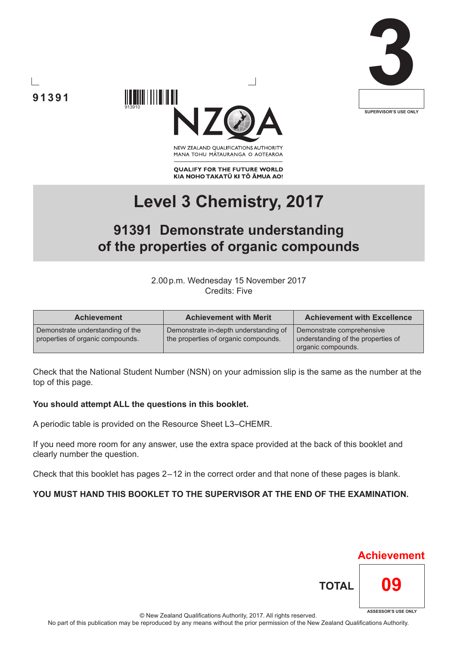





NEW ZEALAND OUALIFICATIONS AUTHORITY MANA TOHU MĀTAURANGA O AOTEAROA

**QUALIFY FOR THE FUTURE WORLD** KIA NOHO TAKATŪ KI TŌ ĀMUA AO!

# **Level 3 Chemistry, 2017**

# **91391 Demonstrate understanding of the properties of organic compounds**

2.00p.m. Wednesday 15 November 2017 Credits: Five

| <b>Achievement</b>                                                   | <b>Achievement with Merit</b>                                                 | <b>Achievement with Excellence</b>                                                    |  |
|----------------------------------------------------------------------|-------------------------------------------------------------------------------|---------------------------------------------------------------------------------------|--|
| Demonstrate understanding of the<br>properties of organic compounds. | Demonstrate in-depth understanding of<br>the properties of organic compounds. | Demonstrate comprehensive<br>understanding of the properties of<br>organic compounds. |  |

Check that the National Student Number (NSN) on your admission slip is the same as the number at the top of this page.

#### **You should attempt ALL the questions in this booklet.**

A periodic table is provided on the Resource Sheet L3–CHEMR.

If you need more room for any answer, use the extra space provided at the back of this booklet and clearly number the question.

Check that this booklet has pages 2 – 12 in the correct order and that none of these pages is blank.

#### **YOU MUST HAND THIS BOOKLET TO THE SUPERVISOR AT THE END OF THE EXAMINATION.**



© New Zealand Qualifications Authority, 2017. All rights reserved. No part of this publication may be reproduced by any means without the prior permission of the New Zealand Qualifications Authority.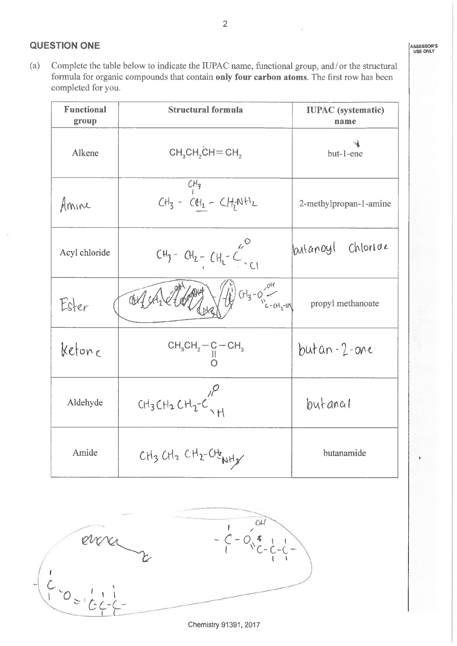#### **QUESTION ONE**

Complete the table below to indicate the IUPAC name, functional group, and/or the structural  $(a)$ formula for organic compounds that contain only four carbon atoms. The first row has been completed for you.

| <b>Functional</b><br>group | <b>Structural formula</b>                                                     | <b>IUPAC</b> (systematic)<br>name |  |
|----------------------------|-------------------------------------------------------------------------------|-----------------------------------|--|
| Alkene                     | $CH3CH2CH=CH2$                                                                | ખો<br>but-1-ene                   |  |
| Amine                      | $CH_3$<br>CH <sub>3</sub> - CH <sub>2</sub> - CH <sub>2</sub> NH <sub>2</sub> | 2-methylpropan-1-amine            |  |
| Acyl chloride              | $CU_3 - CH_2 - CH_1 - C$                                                      | lantanoyl chloride                |  |
| Ester                      | $\begin{pmatrix} 1 \\ 1 \\ 1 \end{pmatrix}$ (H <sub>3</sub> - 0)<br>dA        | propyl methanoate                 |  |
| Ketone                     | $CH_3CH_2-C-CH_3$                                                             | $butan-2-one$                     |  |
| Aldehyde                   | CH3CH2CH2C <sup>10</sup>                                                      | butancil                          |  |
| Amide                      | $CH_3CH_2CH_2-CH_2$                                                           | butanamide                        |  |



Chemistry 91391, 2017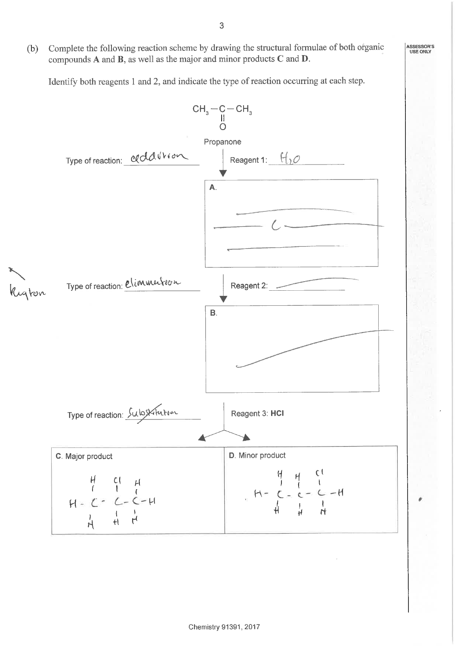Complete the following reaction scheme by drawing the structural formulae of both organic  $(b)$ compounds  $A$  and  $B$ , as well as the major and minor products  $C$  and  $D$ .

Identify both reagents 1 and 2, and indicate the type of reaction occurring at each step.



**ASSESSOR'S** 

USE ONLY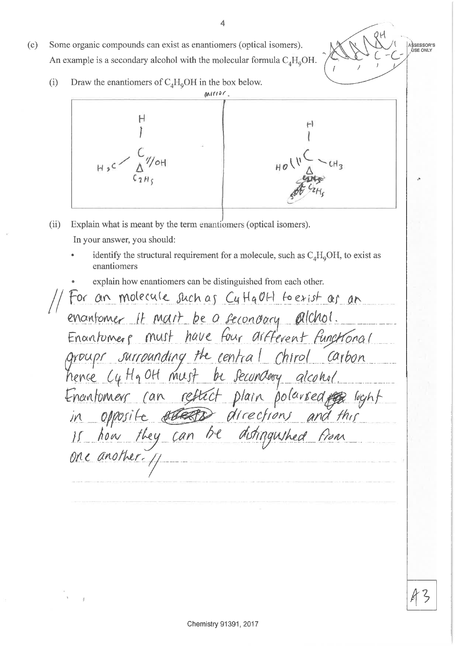- Some organic compounds can exist as enantiomers (optical isomers).  $(c)$ An example is a secondary alcohol with the molecular formula  $C_A H_0OH$ .
	- Draw the enantiomers of  $C_A H_0OH$  in the box below.  $(i)$



- $(ii)$ Explain what is meant by the term enantiomers (optical isomers). In your answer, you should:
	- identify the structural requirement for a molecule, such as  $C_A H_0OH$ , to exist as enantiomers
	- explain how enantiomers can be distinguished from each other.

For an molecule such as CuttaCH to exist as an enantomer it mart be a secondary alchol.<br>Enantomere must have four artferent functional groups surrounding the central chirol Carbon Enantomers can reflect plain polarsed egg light<br>in opposite erretor directions and this<br>is how they can be distinguished from

ASSESSOR'S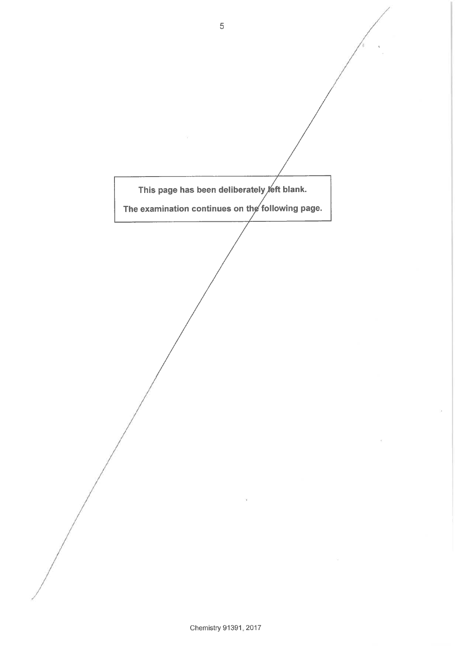$\overline{5}$ This page has been deliberately eft blank. The examination continues on the following page.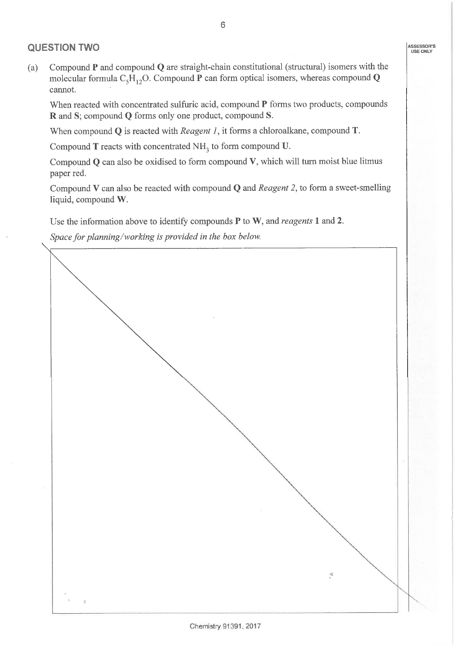### **QUESTION TWO**

Compound  $P$  and compound  $Q$  are straight-chain constitutional (structural) isomers with the  $(a)$ molecular formula  $C_5H_{12}O$ . Compound P can form optical isomers, whereas compound Q cannot.

When reacted with concentrated sulfuric acid, compound P forms two products, compounds R and S; compound Q forms only one product, compound S.

When compound  $Q$  is reacted with *Reagent 1*, it forms a chloroalkane, compound  $T$ .

Compound  $T$  reacts with concentrated  $NH<sub>3</sub>$  to form compound U.

Compound  $Q$  can also be oxidised to form compound  $V$ , which will turn moist blue litmus paper red.

Compound V can also be reacted with compound  $Q$  and *Reagent 2*, to form a sweet-smelling liquid, compound W.

Use the information above to identify compounds  $P$  to  $W$ , and reagents 1 and 2.

Space for planning/working is provided in the box below.

 $\mathcal{O}$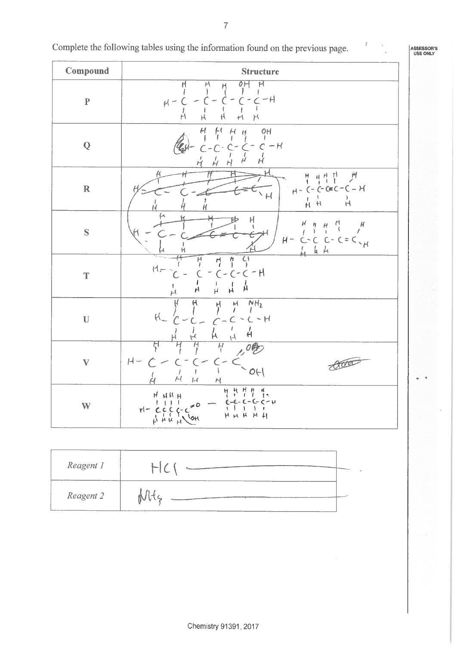Complete the following tables using the information found on the previous page.

ASSESSOR'S<br>USE ONLY

 $\mathfrak{f}% _{0}\left( t\right) \equiv\mathfrak{f}_{0}\left( t\right) \equiv\mathfrak{f}_{0}\left( t\right)$ 

| Compound     | <b>Structure</b>                                                                                                                                                                                                |  |  |  |
|--------------|-----------------------------------------------------------------------------------------------------------------------------------------------------------------------------------------------------------------|--|--|--|
| $\mathbf P$  | $\overline{\mathcal{H}}$<br>$\overline{o}$ H<br>$\overline{\mathsf{H}}$<br>H<br>$\frac{M}{1}$<br>$C - C - H$<br>$\overline{\phantom{a}}$<br>$H -$<br>ŕ١<br>$\mathsf{H}$<br>$\overline{\mathsf{H}}$<br>H<br>$+1$ |  |  |  |
| ${\bf Q}$    | O H<br>f<br>$\mu$<br>$H_{H}$<br>$- H$<br>Ŕ<br>Н                                                                                                                                                                 |  |  |  |
| $\mathbb R$  | 푸프 분<br>$\mathcal{P}$<br>$\frac{H}{I}$<br>$(-C-C-C-C-H)$<br>$H^+$<br>$\overline{H}$<br>f<br>Ĥ<br>$H$ $H$<br>Н                                                                                                   |  |  |  |
| $\mathbf S$  | μ<br>$H_{\rm}$<br>H<br>$\mathcal{H}% _{0}$<br>н<br>H<br>$C-C=C_{\gamma}$<br>$H -$<br>$\overline{C}$<br>$C^*$                                                                                                    |  |  |  |
| $\mathbf T$  | Ċ<br>Ĥ<br>h<br>1<br>$M_{\tau}$<br>$C - H$<br>$\epsilon$ -<br>Á<br>ر<br>H<br>H<br>$\overline{H}$<br>H                                                                                                            |  |  |  |
| $\mathbf U$  | NH <sub>2</sub><br>$\boldsymbol{\mu}$<br>H<br>ŀJ.<br>$H_{-}$<br>$C - H$<br>$\widetilde{\mathcal{F}}$<br>н<br>Ή<br>$\lambda_I$                                                                                   |  |  |  |
| $\mathbf{V}$ | Ħ<br>Ĥ<br>$H -$<br>too<br>700<br>J<br>ł<br>$\overline{\mathcal{M}}$<br>$\vdash$<br>$\mathcal{N}$                                                                                                                |  |  |  |
| W            | $\frac{1}{2}$<br>$\frac{1}{3}$<br>$\frac{\mu}{l}$<br>۲Į<br>$H$ $H$ $H$ $H$<br>$6 - 6 - 6 - 6 - 4$<br>J.<br>-<br>∫ ج<br>$rl-CCCC$<br>$\mathbf{f}$<br>HHHHH<br>$\frac{1}{N}$ $\frac{1}{N}$ $\frac{1}{N}$          |  |  |  |

| Reagent 1 |  |
|-----------|--|
| Reagent 2 |  |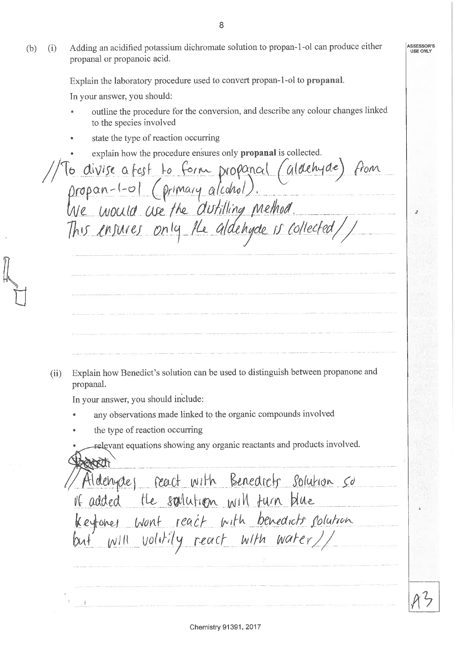ASSESSOR'S Adding an acidified potassium dichromate solution to propan-1-ol can produce either  $(i)$ USE ONLY propanal or propanoic acid. Explain the laboratory procedure used to convert propan-1-ol to propanal. In your answer, you should: outline the procedure for the conversion, and describe any colour changes linked to the species involved state the type of reaction occurring explain how the procedure ensures only propanal is collected. la divise a fest to form propanal (aldehyde) propan-1-01 (primary alcohol). This ensures only the aldehyde is collected, Explain how Benedict's solution can be used to distinguish between propanone and  $(ii)$ propanal. In your answer, you should include: any observations made linked to the organic compounds involved the type of reaction occurring relevant equations showing any organic reactants and products involved. Aldenydes react with Benedicts solution so If added the solution will turn blue ceytones wont react with benedicts solution voltily react with water//  $W^{[l]}$ 

8

 $(b)$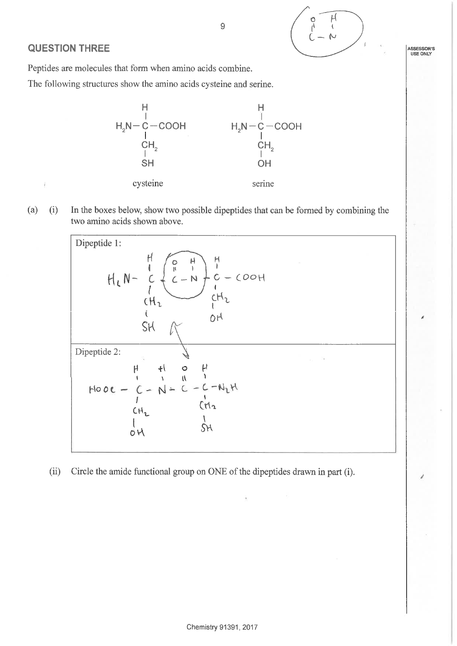

## **QUESTION THREE**

Peptides are molecules that form when amino acids combine.

The following structures show the amino acids cysteine and serine.



9

In the boxes below, show two possible dipeptides that can be formed by combining the  $(a)$  $(i)$ two amino acids shown above.



Circle the amide functional group on ONE of the dipeptides drawn in part (i).  $(ii)$ 

**ASSESSOR'S** USE ONLY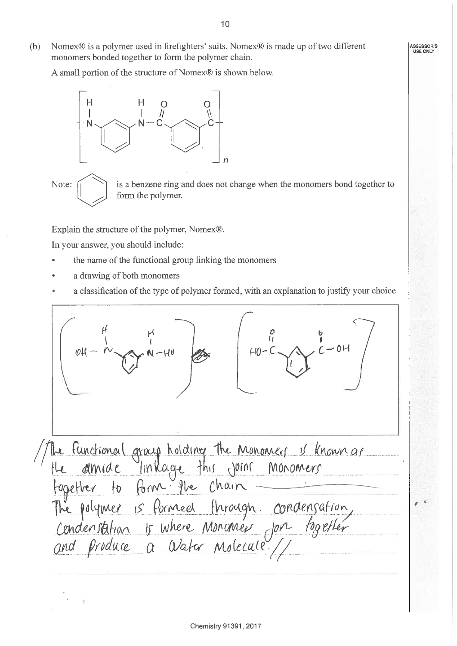- ASSESSOR'S USE ONLY
- Nomex® is a polymer used in firefighters' suits. Nomex® is made up of two different  $(b)$ monomers bonded together to form the polymer chain.

A small portion of the structure of Nomex® is shown below.



Note:

is a benzene ring and does not change when the monomers bond together to form the polymer.

Explain the structure of the polymer, Nomex®.

In your answer, you should include:

- the name of the functional group linking the monomers
- a drawing of both monomers
- a classification of the type of polymer formed, with an explanation to justify your choice.

 $40 - C \times 100$  $\sim N-HU$ The Functional group holding the Monomers is known as<br>the almide linkage this joins monomers<br>together to form the chain<br>The polymer is formed through condensation,<br>condensation is where Monomer for fogether<br>and produce a W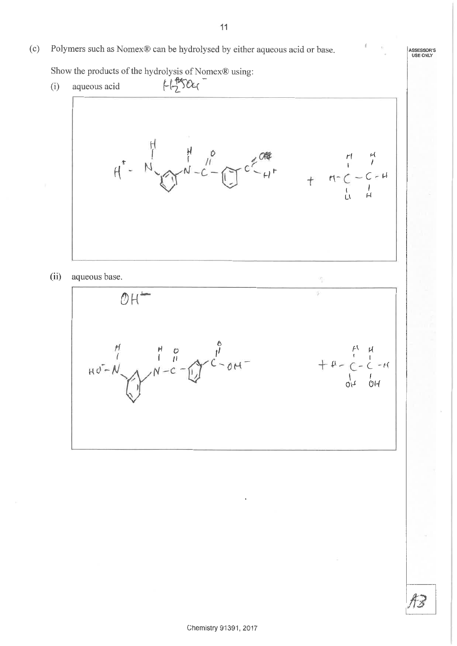Polymers such as Nomex® can be hydrolysed by either aqueous acid or base.  $(c)$ 

Show the products of the hydrolysis of Nomex® using:

 $H504$  $(i)$ aqueous acid  $H^*$  -  $N = \frac{1}{\sqrt{2}} \int_{-C}^{C} \frac{1}{C} \int_{-C}^{C} C \frac{1}{C} dT$  $(ii)$ aqueous base.  $OH$  $Hd-M$ <br> $Hd-M$ <br> $N-C-U$  $+ 4 - 2 - 4 +$ <br>+ 4 - 2 - 2 - 4<br>du du

ASSESSOR'S<br>USE ONLY

Fx